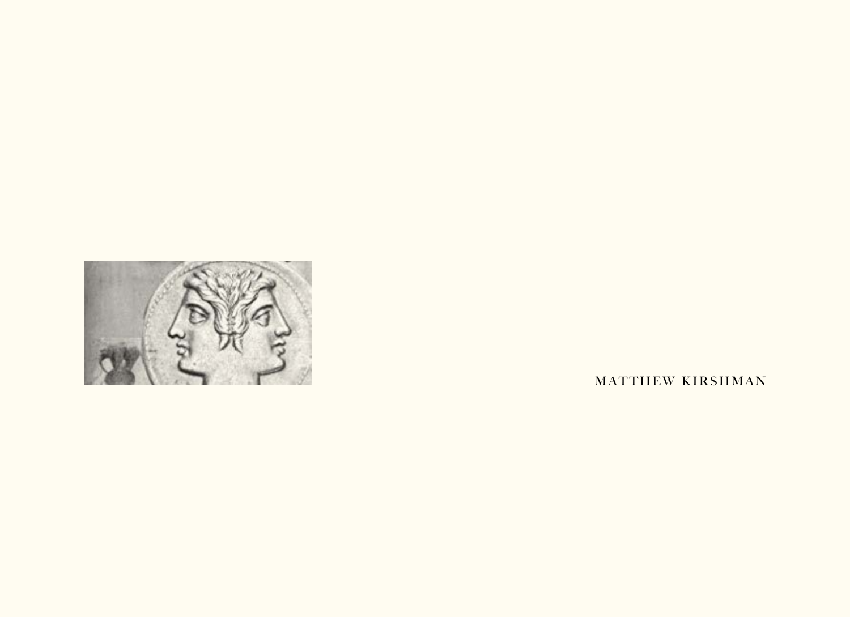

MATTHEW KIRSHMAN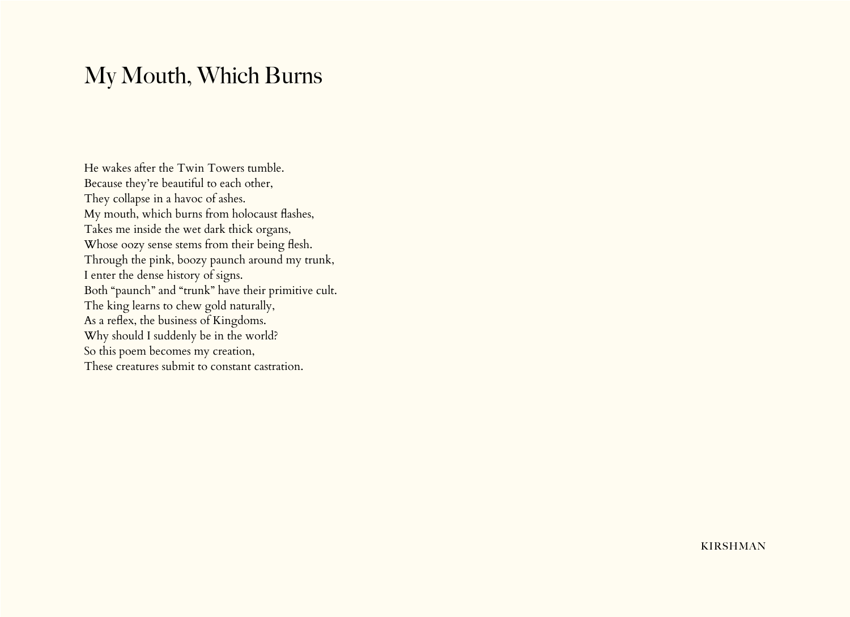## My Mouth, Which Burns

He wakes after the Twin Towers tumble. Because they're beautiful to each other, They collapse in a havoc of ashes. My mouth, which burns from holocaust flashes, Takes me inside the wet dark thick organs, Whose oozy sense stems from their being flesh. Through the pink, boozy paunch around my trunk, I enter the dense history of signs. Both "paunch" and "trunk" have their primitive cult. The king learns to chew gold naturally, As a reflex, the business of Kingdoms. Why should I suddenly be in the world? So this poem becomes my creation, These creatures submit to constant castration.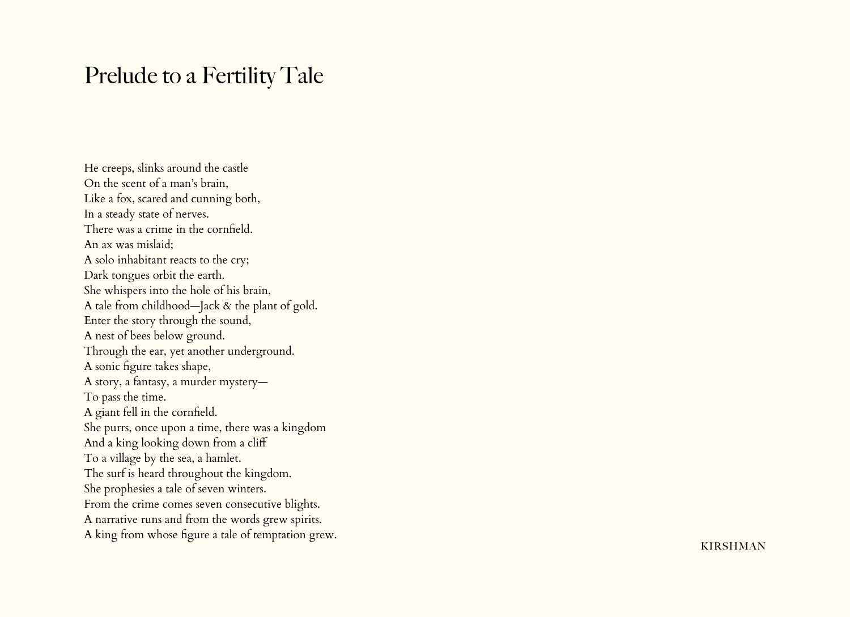## Prelude to a Fertility Tale

He creeps, slinks around the castle On the scent of a man's brain, Like a fox, scared and cunning both, In a steady state of nerves. There was a crime in the cornfield. An ax was mislaid; A solo inhabitant reacts to the cry; Dark tongues orbit the earth. She whispers into the hole of his brain, A tale from childhood—Jack & the plant of gold. Enter the story through the sound, A nest of bees below ground. Through the ear, yet another underground. A sonic figure takes shape, A story, a fantasy, a murder mystery— To pass the time. A giant fell in the cornfield. She purrs, once upon a time, there was a kingdom And a king looking down from a cliff To a village by the sea, a hamlet. The surf is heard throughout the kingdom. She prophesies a tale of seven winters. From the crime comes seven consecutive blights. A narrative runs and from the words grew spirits. A king from whose figure a tale of temptation grew.